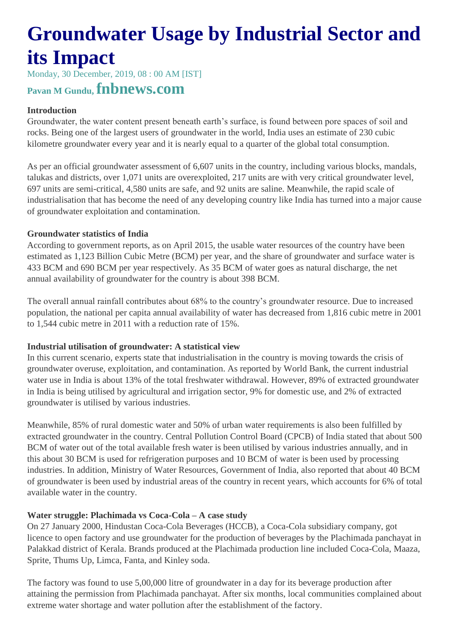# **Groundwater Usage by Industrial Sector and its Impact**

Monday, 30 December, 2019, 08 : 00 AM [IST]

# **Pavan M Gundu, fnbnews.com**

## **Introduction**

Groundwater, the water content present beneath earth's surface, is found between pore spaces of soil and rocks. Being one of the largest users of groundwater in the world, India uses an estimate of 230 cubic kilometre groundwater every year and it is nearly equal to a quarter of the global total consumption.

As per an official groundwater assessment of 6,607 units in the country, including various blocks, mandals, talukas and districts, over 1,071 units are overexploited, 217 units are with very critical groundwater level, 697 units are semi-critical, 4,580 units are safe, and 92 units are saline. Meanwhile, the rapid scale of industrialisation that has become the need of any developing country like India has turned into a major cause of groundwater exploitation and contamination.

### **Groundwater statistics of India**

According to government reports, as on April 2015, the usable water resources of the country have been estimated as 1,123 Billion Cubic Metre (BCM) per year, and the share of groundwater and surface water is 433 BCM and 690 BCM per year respectively. As 35 BCM of water goes as natural discharge, the net annual availability of groundwater for the country is about 398 BCM.

The overall annual rainfall contributes about 68% to the country's groundwater resource. Due to increased population, the national per capita annual availability of water has decreased from 1,816 cubic metre in 2001 to 1,544 cubic metre in 2011 with a reduction rate of 15%.

### **Industrial utilisation of groundwater: A statistical view**

In this current scenario, experts state that industrialisation in the country is moving towards the crisis of groundwater overuse, exploitation, and contamination. As reported by World Bank, the current industrial water use in India is about 13% of the total freshwater withdrawal. However, 89% of extracted groundwater in India is being utilised by agricultural and irrigation sector, 9% for domestic use, and 2% of extracted groundwater is utilised by various industries.

Meanwhile, 85% of rural domestic water and 50% of urban water requirements is also been fulfilled by extracted groundwater in the country. Central Pollution Control Board (CPCB) of India stated that about 500 BCM of water out of the total available fresh water is been utilised by various industries annually, and in this about 30 BCM is used for refrigeration purposes and 10 BCM of water is been used by processing industries. In addition, Ministry of Water Resources, Government of India, also reported that about 40 BCM of groundwater is been used by industrial areas of the country in recent years, which accounts for 6% of total available water in the country.

# **Water struggle: Plachimada vs Coca-Cola – A case study**

On 27 January 2000, Hindustan Coca-Cola Beverages (HCCB), a Coca-Cola subsidiary company, got licence to open factory and use groundwater for the production of beverages by the Plachimada panchayat in Palakkad district of Kerala. Brands produced at the Plachimada production line included Coca-Cola, Maaza, Sprite, Thums Up, Limca, Fanta, and Kinley soda.

The factory was found to use 5,00,000 litre of groundwater in a day for its beverage production after attaining the permission from Plachimada panchayat. After six months, local communities complained about extreme water shortage and water pollution after the establishment of the factory.